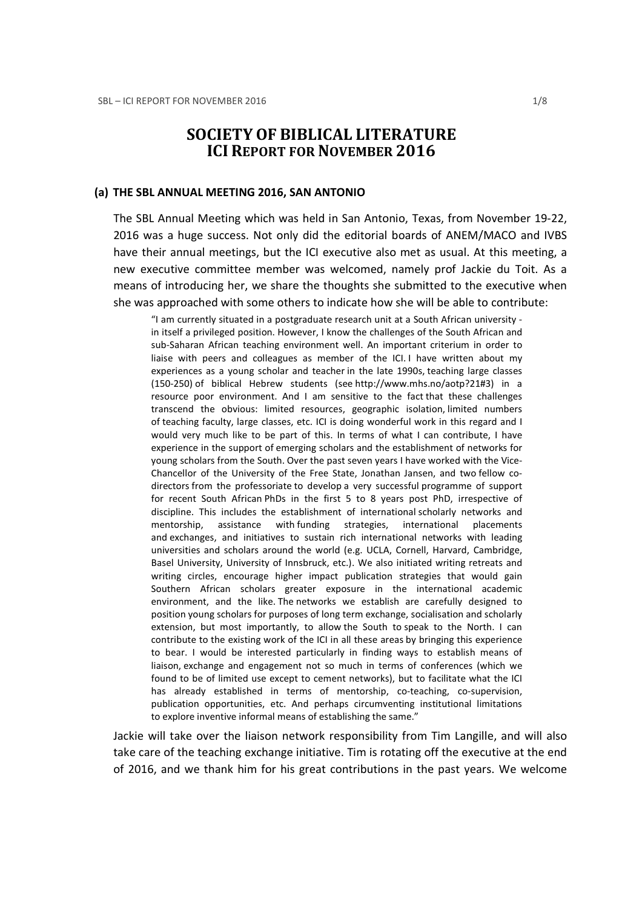# SOCIETY OF BIBLICAL LITERATURE ICI REPORT FOR NOVEMBER 2016

#### (a) THE SBL ANNUAL MEETING 2016, SAN ANTONIO

The SBL Annual Meeting which was held in San Antonio, Texas, from November 19-22, 2016 was a huge success. Not only did the editorial boards of ANEM/MACO and IVBS have their annual meetings, but the ICI executive also met as usual. At this meeting, a new executive committee member was welcomed, namely prof Jackie du Toit. As a means of introducing her, we share the thoughts she submitted to the executive when she was approached with some others to indicate how she will be able to contribute:

"I am currently situated in a postgraduate research unit at a South African university in itself a privileged position. However, I know the challenges of the South African and sub-Saharan African teaching environment well. An important criterium in order to liaise with peers and colleagues as member of the ICI. I have written about my experiences as a young scholar and teacher in the late 1990s, teaching large classes (150-250) of biblical Hebrew students (see http://www.mhs.no/aotp?21#3) in a resource poor environment. And I am sensitive to the fact that these challenges transcend the obvious: limited resources, geographic isolation, limited numbers of teaching faculty, large classes, etc. ICI is doing wonderful work in this regard and I would very much like to be part of this. In terms of what I can contribute, I have experience in the support of emerging scholars and the establishment of networks for young scholars from the South. Over the past seven years I have worked with the Vice-Chancellor of the University of the Free State, Jonathan Jansen, and two fellow codirectors from the professoriate to develop a very successful programme of support for recent South African PhDs in the first 5 to 8 years post PhD, irrespective of discipline. This includes the establishment of international scholarly networks and mentorship, assistance with funding strategies, international placements and exchanges, and initiatives to sustain rich international networks with leading universities and scholars around the world (e.g. UCLA, Cornell, Harvard, Cambridge, Basel University, University of Innsbruck, etc.). We also initiated writing retreats and writing circles, encourage higher impact publication strategies that would gain Southern African scholars greater exposure in the international academic environment, and the like. The networks we establish are carefully designed to position young scholars for purposes of long term exchange, socialisation and scholarly extension, but most importantly, to allow the South to speak to the North. I can contribute to the existing work of the ICI in all these areas by bringing this experience to bear. I would be interested particularly in finding ways to establish means of liaison, exchange and engagement not so much in terms of conferences (which we found to be of limited use except to cement networks), but to facilitate what the ICI has already established in terms of mentorship, co-teaching, co-supervision, publication opportunities, etc. And perhaps circumventing institutional limitations to explore inventive informal means of establishing the same."

Jackie will take over the liaison network responsibility from Tim Langille, and will also take care of the teaching exchange initiative. Tim is rotating off the executive at the end of 2016, and we thank him for his great contributions in the past years. We welcome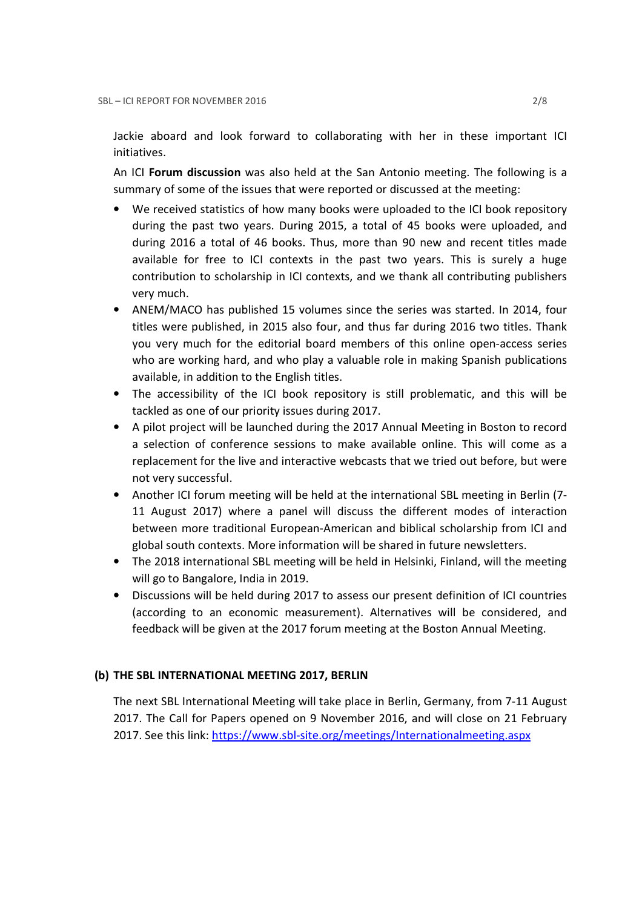Jackie aboard and look forward to collaborating with her in these important ICI initiatives.

An ICI Forum discussion was also held at the San Antonio meeting. The following is a summary of some of the issues that were reported or discussed at the meeting:

- We received statistics of how many books were uploaded to the ICI book repository during the past two years. During 2015, a total of 45 books were uploaded, and during 2016 a total of 46 books. Thus, more than 90 new and recent titles made available for free to ICI contexts in the past two years. This is surely a huge contribution to scholarship in ICI contexts, and we thank all contributing publishers very much.
- ANEM/MACO has published 15 volumes since the series was started. In 2014, four titles were published, in 2015 also four, and thus far during 2016 two titles. Thank you very much for the editorial board members of this online open-access series who are working hard, and who play a valuable role in making Spanish publications available, in addition to the English titles.
- The accessibility of the ICI book repository is still problematic, and this will be tackled as one of our priority issues during 2017.
- A pilot project will be launched during the 2017 Annual Meeting in Boston to record a selection of conference sessions to make available online. This will come as a replacement for the live and interactive webcasts that we tried out before, but were not very successful.
- Another ICI forum meeting will be held at the international SBL meeting in Berlin (7- 11 August 2017) where a panel will discuss the different modes of interaction between more traditional European-American and biblical scholarship from ICI and global south contexts. More information will be shared in future newsletters.
- The 2018 international SBL meeting will be held in Helsinki, Finland, will the meeting will go to Bangalore, India in 2019.
- Discussions will be held during 2017 to assess our present definition of ICI countries (according to an economic measurement). Alternatives will be considered, and feedback will be given at the 2017 forum meeting at the Boston Annual Meeting.

# (b) THE SBL INTERNATIONAL MEETING 2017, BERLIN

The next SBL International Meeting will take place in Berlin, Germany, from 7-11 August 2017. The Call for Papers opened on 9 November 2016, and will close on 21 February 2017. See this link: https://www.sbl-site.org/meetings/Internationalmeeting.aspx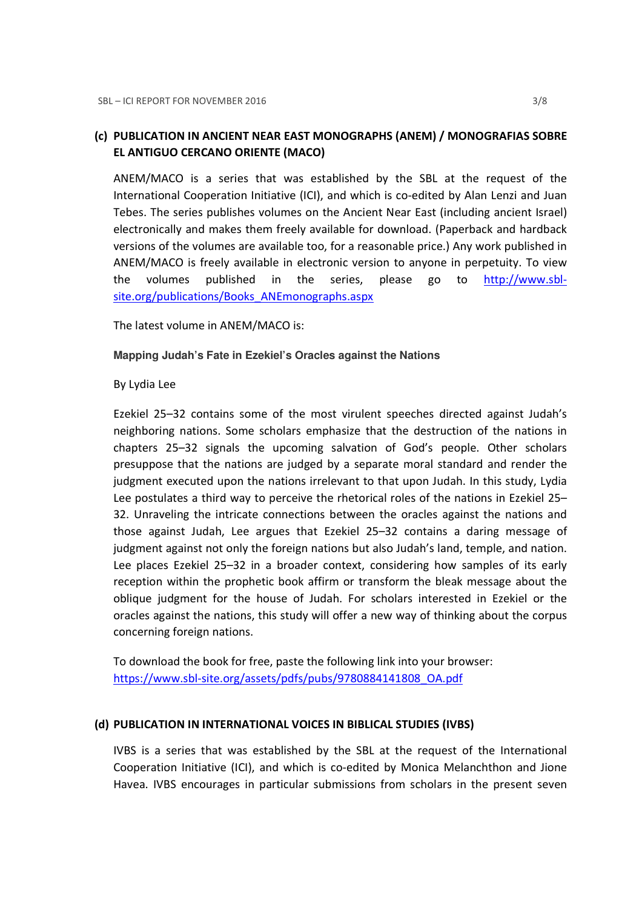# (c) PUBLICATION IN ANCIENT NEAR EAST MONOGRAPHS (ANEM) / MONOGRAFIAS SOBRE EL ANTIGUO CERCANO ORIENTE (MACO)

ANEM/MACO is a series that was established by the SBL at the request of the International Cooperation Initiative (ICI), and which is co-edited by Alan Lenzi and Juan Tebes. The series publishes volumes on the Ancient Near East (including ancient Israel) electronically and makes them freely available for download. (Paperback and hardback versions of the volumes are available too, for a reasonable price.) Any work published in ANEM/MACO is freely available in electronic version to anyone in perpetuity. To view the volumes published in the series, please go to http://www.sblsite.org/publications/Books\_ANEmonographs.aspx

The latest volume in ANEM/MACO is:

### **Mapping Judah's Fate in Ezekiel's Oracles against the Nations**

### By Lydia Lee

Ezekiel 25–32 contains some of the most virulent speeches directed against Judah's neighboring nations. Some scholars emphasize that the destruction of the nations in chapters 25–32 signals the upcoming salvation of God's people. Other scholars presuppose that the nations are judged by a separate moral standard and render the judgment executed upon the nations irrelevant to that upon Judah. In this study, Lydia Lee postulates a third way to perceive the rhetorical roles of the nations in Ezekiel 25– 32. Unraveling the intricate connections between the oracles against the nations and those against Judah, Lee argues that Ezekiel 25–32 contains a daring message of judgment against not only the foreign nations but also Judah's land, temple, and nation. Lee places Ezekiel 25–32 in a broader context, considering how samples of its early reception within the prophetic book affirm or transform the bleak message about the oblique judgment for the house of Judah. For scholars interested in Ezekiel or the oracles against the nations, this study will offer a new way of thinking about the corpus concerning foreign nations.

To download the book for free, paste the following link into your browser: https://www.sbl-site.org/assets/pdfs/pubs/9780884141808\_OA.pdf

### (d) PUBLICATION IN INTERNATIONAL VOICES IN BIBLICAL STUDIES (IVBS)

IVBS is a series that was established by the SBL at the request of the International Cooperation Initiative (ICI), and which is co-edited by Monica Melanchthon and Jione Havea. IVBS encourages in particular submissions from scholars in the present seven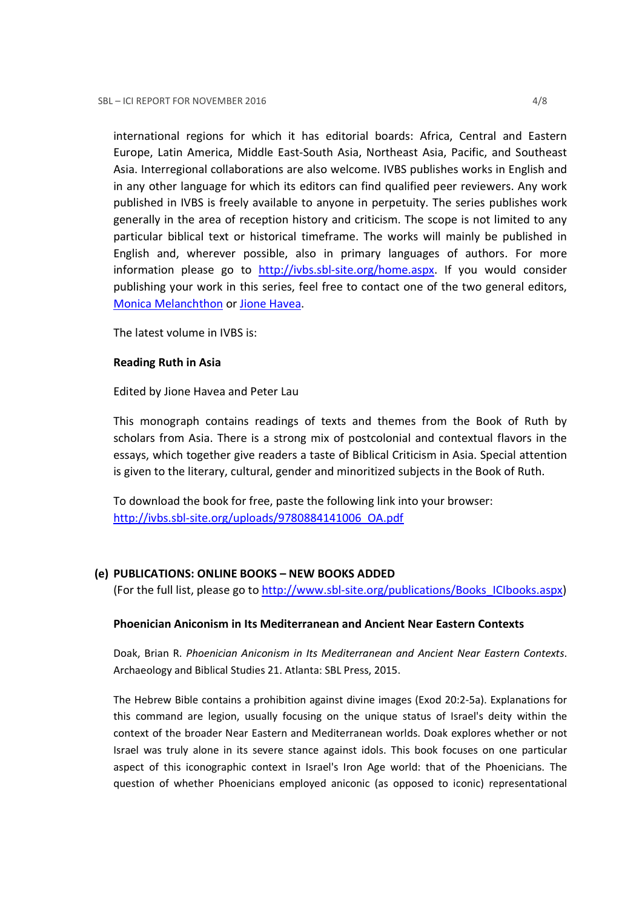international regions for which it has editorial boards: Africa, Central and Eastern Europe, Latin America, Middle East-South Asia, Northeast Asia, Pacific, and Southeast Asia. Interregional collaborations are also welcome. IVBS publishes works in English and in any other language for which its editors can find qualified peer reviewers. Any work published in IVBS is freely available to anyone in perpetuity. The series publishes work generally in the area of reception history and criticism. The scope is not limited to any particular biblical text or historical timeframe. The works will mainly be published in English and, wherever possible, also in primary languages of authors. For more information please go to http://ivbs.sbl-site.org/home.aspx. If you would consider publishing your work in this series, feel free to contact one of the two general editors, Monica Melanchthon or Jione Havea.

The latest volume in IVBS is:

# Reading Ruth in Asia

Edited by Jione Havea and Peter Lau

This monograph contains readings of texts and themes from the Book of Ruth by scholars from Asia. There is a strong mix of postcolonial and contextual flavors in the essays, which together give readers a taste of Biblical Criticism in Asia. Special attention is given to the literary, cultural, gender and minoritized subjects in the Book of Ruth.

To download the book for free, paste the following link into your browser: http://ivbs.sbl-site.org/uploads/9780884141006\_OA.pdf

# (e) PUBLICATIONS: ONLINE BOOKS – NEW BOOKS ADDED

(For the full list, please go to http://www.sbl-site.org/publications/Books\_ICIbooks.aspx)

# Phoenician Aniconism in Its Mediterranean and Ancient Near Eastern Contexts

Doak, Brian R. Phoenician Aniconism in Its Mediterranean and Ancient Near Eastern Contexts. Archaeology and Biblical Studies 21. Atlanta: SBL Press, 2015.

The Hebrew Bible contains a prohibition against divine images (Exod 20:2-5a). Explanations for this command are legion, usually focusing on the unique status of Israel's deity within the context of the broader Near Eastern and Mediterranean worlds. Doak explores whether or not Israel was truly alone in its severe stance against idols. This book focuses on one particular aspect of this iconographic context in Israel's Iron Age world: that of the Phoenicians. The question of whether Phoenicians employed aniconic (as opposed to iconic) representational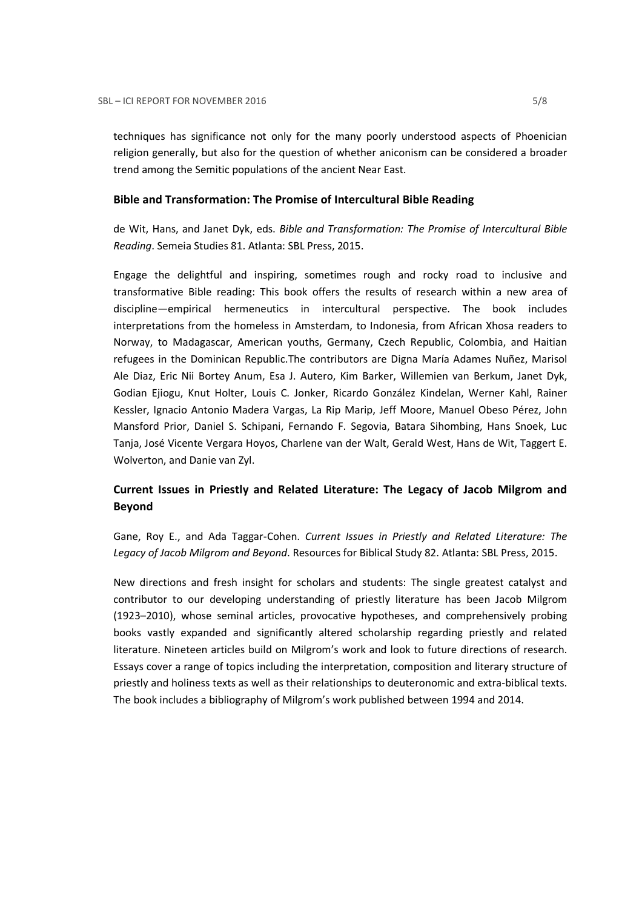techniques has significance not only for the many poorly understood aspects of Phoenician religion generally, but also for the question of whether aniconism can be considered a broader trend among the Semitic populations of the ancient Near East.

#### Bible and Transformation: The Promise of Intercultural Bible Reading

de Wit, Hans, and Janet Dyk, eds. Bible and Transformation: The Promise of Intercultural Bible Reading. Semeia Studies 81. Atlanta: SBL Press, 2015.

Engage the delightful and inspiring, sometimes rough and rocky road to inclusive and transformative Bible reading: This book offers the results of research within a new area of discipline—empirical hermeneutics in intercultural perspective. The book includes interpretations from the homeless in Amsterdam, to Indonesia, from African Xhosa readers to Norway, to Madagascar, American youths, Germany, Czech Republic, Colombia, and Haitian refugees in the Dominican Republic.The contributors are Digna María Adames Nuñez, Marisol Ale Diaz, Eric Nii Bortey Anum, Esa J. Autero, Kim Barker, Willemien van Berkum, Janet Dyk, Godian Ejiogu, Knut Holter, Louis C. Jonker, Ricardo González Kindelan, Werner Kahl, Rainer Kessler, Ignacio Antonio Madera Vargas, La Rip Marip, Jeff Moore, Manuel Obeso Pérez, John Mansford Prior, Daniel S. Schipani, Fernando F. Segovia, Batara Sihombing, Hans Snoek, Luc Tanja, José Vicente Vergara Hoyos, Charlene van der Walt, Gerald West, Hans de Wit, Taggert E. Wolverton, and Danie van Zyl.

# Current Issues in Priestly and Related Literature: The Legacy of Jacob Milgrom and Beyond

Gane, Roy E., and Ada Taggar-Cohen. Current Issues in Priestly and Related Literature: The Legacy of Jacob Milgrom and Beyond. Resources for Biblical Study 82. Atlanta: SBL Press, 2015.

New directions and fresh insight for scholars and students: The single greatest catalyst and contributor to our developing understanding of priestly literature has been Jacob Milgrom (1923–2010), whose seminal articles, provocative hypotheses, and comprehensively probing books vastly expanded and significantly altered scholarship regarding priestly and related literature. Nineteen articles build on Milgrom's work and look to future directions of research. Essays cover a range of topics including the interpretation, composition and literary structure of priestly and holiness texts as well as their relationships to deuteronomic and extra-biblical texts. The book includes a bibliography of Milgrom's work published between 1994 and 2014.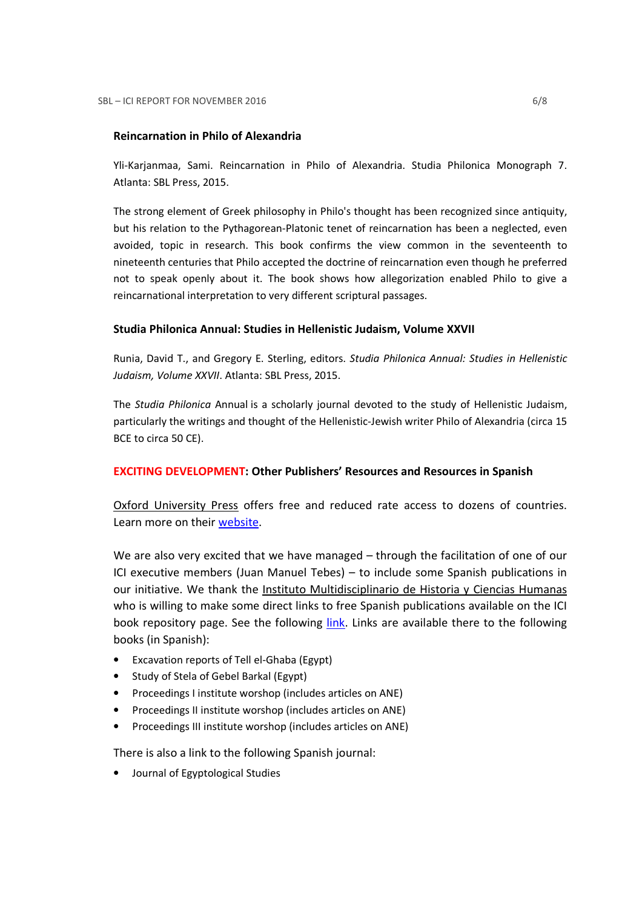#### Reincarnation in Philo of Alexandria

Yli-Karjanmaa, Sami. Reincarnation in Philo of Alexandria. Studia Philonica Monograph 7. Atlanta: SBL Press, 2015.

The strong element of Greek philosophy in Philo's thought has been recognized since antiquity, but his relation to the Pythagorean-Platonic tenet of reincarnation has been a neglected, even avoided, topic in research. This book confirms the view common in the seventeenth to nineteenth centuries that Philo accepted the doctrine of reincarnation even though he preferred not to speak openly about it. The book shows how allegorization enabled Philo to give a reincarnational interpretation to very different scriptural passages.

#### Studia Philonica Annual: Studies in Hellenistic Judaism, Volume XXVII

Runia, David T., and Gregory E. Sterling, editors. Studia Philonica Annual: Studies in Hellenistic Judaism, Volume XXVII. Atlanta: SBL Press, 2015.

The Studia Philonica Annual is a scholarly journal devoted to the study of Hellenistic Judaism, particularly the writings and thought of the Hellenistic-Jewish writer Philo of Alexandria (circa 15 BCE to circa 50 CE).

#### EXCITING DEVELOPMENT: Other Publishers' Resources and Resources in Spanish

Oxford University Press offers free and reduced rate access to dozens of countries. Learn more on their website.

We are also very excited that we have managed – through the facilitation of one of our ICI executive members (Juan Manuel Tebes) – to include some Spanish publications in our initiative. We thank the Instituto Multidisciplinario de Historia y Ciencias Humanas who is willing to make some direct links to free Spanish publications available on the ICI book repository page. See the following *link*. Links are available there to the following books (in Spanish):

- Excavation reports of Tell el-Ghaba (Egypt)
- Study of Stela of Gebel Barkal (Egypt)
- Proceedings I institute worshop (includes articles on ANE)
- Proceedings II institute worshop (includes articles on ANE)
- Proceedings III institute worshop (includes articles on ANE)

There is also a link to the following Spanish journal:

• Journal of Egyptological Studies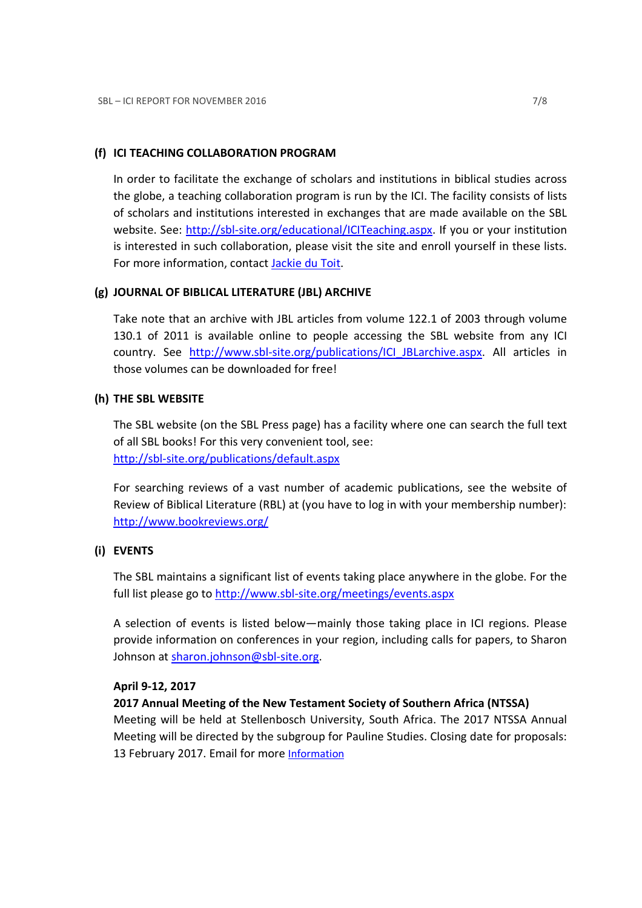# (f) ICI TEACHING COLLABORATION PROGRAM

In order to facilitate the exchange of scholars and institutions in biblical studies across the globe, a teaching collaboration program is run by the ICI. The facility consists of lists of scholars and institutions interested in exchanges that are made available on the SBL website. See: http://sbl-site.org/educational/ICITeaching.aspx. If you or your institution is interested in such collaboration, please visit the site and enroll yourself in these lists. For more information, contact **Jackie du Toit**.

# (g) JOURNAL OF BIBLICAL LITERATURE (JBL) ARCHIVE

Take note that an archive with JBL articles from volume 122.1 of 2003 through volume 130.1 of 2011 is available online to people accessing the SBL website from any ICI country. See http://www.sbl-site.org/publications/ICI\_JBLarchive.aspx. All articles in those volumes can be downloaded for free!

# (h) THE SBL WEBSITE

The SBL website (on the SBL Press page) has a facility where one can search the full text of all SBL books! For this very convenient tool, see: http://sbl-site.org/publications/default.aspx

For searching reviews of a vast number of academic publications, see the website of Review of Biblical Literature (RBL) at (you have to log in with your membership number): http://www.bookreviews.org/

# (i) EVENTS

The SBL maintains a significant list of events taking place anywhere in the globe. For the full list please go to http://www.sbl-site.org/meetings/events.aspx

A selection of events is listed below—mainly those taking place in ICI regions. Please provide information on conferences in your region, including calls for papers, to Sharon Johnson at sharon.johnson@sbl-site.org.

# April 9-12, 2017

# 2017 Annual Meeting of the New Testament Society of Southern Africa (NTSSA)

Meeting will be held at Stellenbosch University, South Africa. The 2017 NTSSA Annual Meeting will be directed by the subgroup for Pauline Studies. Closing date for proposals: 13 February 2017. Email for more Information